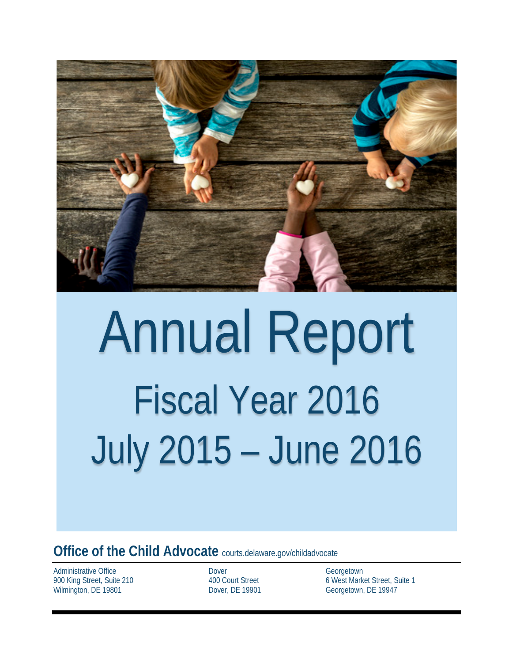

# Annual Report Fiscal Year 2016 July 2015 – June 2016

**Office of the Child Advocate** courts.delaware.gov/childadvocate

Administrative Office 900 King Street, Suite 210 Wilmington, DE 19801

 Dover 400 Court Street Dover, DE 19901 **Georgetown** 6 West Market Street, Suite 1 Georgetown, DE 19947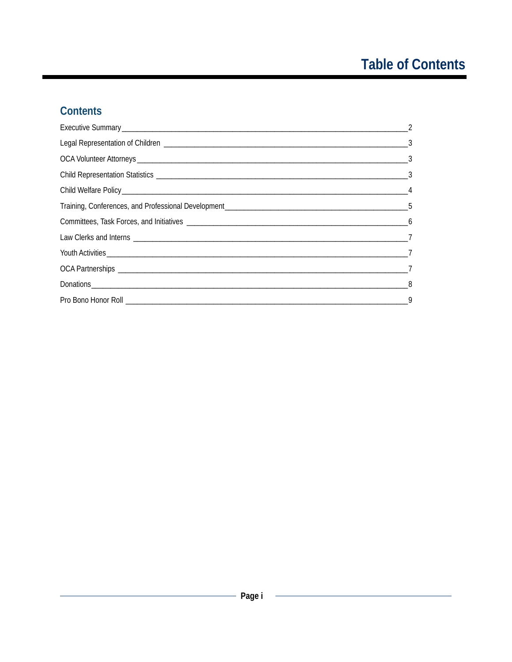# **Table of Contents**

# Contents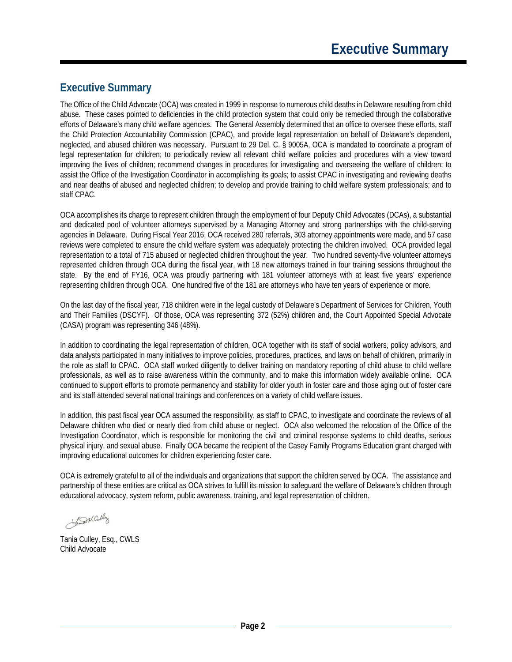#### <span id="page-2-0"></span>**Executive Summary**

The Office of the Child Advocate (OCA) was created in 1999 in response to numerous child deaths in Delaware resulting from child abuse. These cases pointed to deficiencies in the child protection system that could only be remedied through the collaborative efforts of Delaware's many child welfare agencies. The General Assembly determined that an office to oversee these efforts, staff the Child Protection Accountability Commission (CPAC), and provide legal representation on behalf of Delaware's dependent, neglected, and abused children was necessary. Pursuant to 29 Del. C. § 9005A, OCA is mandated to coordinate a program of legal representation for children; to periodically review all relevant child welfare policies and procedures with a view toward improving the lives of children; recommend changes in procedures for investigating and overseeing the welfare of children; to assist the Office of the Investigation Coordinator in accomplishing its goals; to assist CPAC in investigating and reviewing deaths and near deaths of abused and neglected children; to develop and provide training to child welfare system professionals; and to staff CPAC.

OCA accomplishes its charge to represent children through the employment of four Deputy Child Advocates (DCAs), a substantial and dedicated pool of volunteer attorneys supervised by a Managing Attorney and strong partnerships with the child-serving agencies in Delaware. During Fiscal Year 2016, OCA received 280 referrals, 303 attorney appointments were made, and 57 case reviews were completed to ensure the child welfare system was adequately protecting the children involved. OCA provided legal representation to a total of 715 abused or neglected children throughout the year. Two hundred seventy-five volunteer attorneys represented children through OCA during the fiscal year, with 18 new attorneys trained in four training sessions throughout the state. By the end of FY16, OCA was proudly partnering with 181 volunteer attorneys with at least five years' experience representing children through OCA. One hundred five of the 181 are attorneys who have ten years of experience or more.

On the last day of the fiscal year, 718 children were in the legal custody of Delaware's Department of Services for Children, Youth and Their Families (DSCYF). Of those, OCA was representing 372 (52%) children and, the Court Appointed Special Advocate (CASA) program was representing 346 (48%).

In addition to coordinating the legal representation of children, OCA together with its staff of social workers, policy advisors, and data analysts participated in many initiatives to improve policies, procedures, practices, and laws on behalf of children, primarily in the role as staff to CPAC. OCA staff worked diligently to deliver training on mandatory reporting of child abuse to child welfare professionals, as well as to raise awareness within the community, and to make this information widely available online. OCA continued to support efforts to promote permanency and stability for older youth in foster care and those aging out of foster care and its staff attended several national trainings and conferences on a variety of child welfare issues.

In addition, this past fiscal year OCA assumed the responsibility, as staff to CPAC, to investigate and coordinate the reviews of all Delaware children who died or nearly died from child abuse or neglect. OCA also welcomed the relocation of the Office of the Investigation Coordinator, which is responsible for monitoring the civil and criminal response systems to child deaths, serious physical injury, and sexual abuse. Finally OCA became the recipient of the Casey Family Programs Education grant charged with improving educational outcomes for children experiencing foster care.

OCA is extremely grateful to all of the individuals and organizations that support the children served by OCA. The assistance and partnership of these entities are critical as OCA strives to fulfill its mission to safeguard the welfare of Delaware's children through educational advocacy, system reform, public awareness, training, and legal representation of children.

Generally

Tania Culley, Esq., CWLS Child Advocate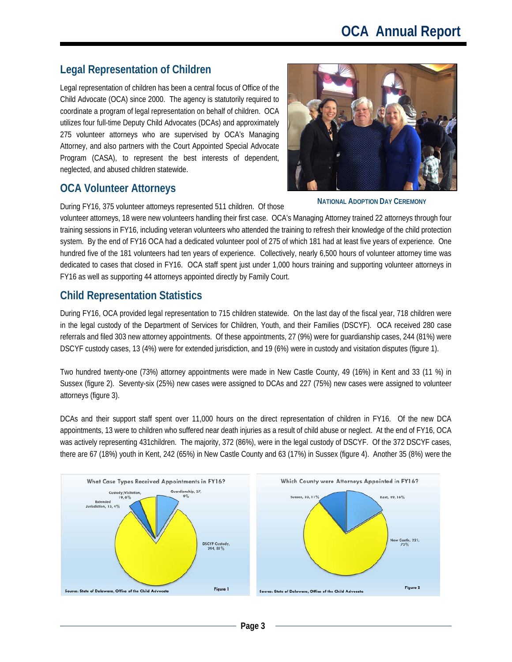### <span id="page-3-0"></span>**Legal Representation of Children**

Legal representation of children has been a central focus of Office of the Child Advocate (OCA) since 2000. The agency is statutorily required to coordinate a program of legal representation on behalf of children. OCA utilizes four full-time Deputy Child Advocates (DCAs) and approximately 275 volunteer attorneys who are supervised by OCA's Managing Attorney, and also partners with the Court Appointed Special Advocate Program (CASA), to represent the best interests of dependent, neglected, and abused children statewide.

#### <span id="page-3-1"></span>**OCA Volunteer Attorneys**

During FY16, 375 volunteer attorneys represented 511 children. Of those

volunteer attorneys, 18 were new volunteers handling their first case. OCA's Managing Attorney trained 22 attorneys through four training sessions in FY16, including veteran volunteers who attended the training to refresh their knowledge of the child protection system. By the end of FY16 OCA had a dedicated volunteer pool of 275 of which 181 had at least five years of experience. One hundred five of the 181 volunteers had ten years of experience. Collectively, nearly 6,500 hours of volunteer attorney time was dedicated to cases that closed in FY16. OCA staff spent just under 1,000 hours training and supporting volunteer attorneys in FY16 as well as supporting 44 attorneys appointed directly by Family Court.

# <span id="page-3-2"></span>**Child Representation Statistics**

During FY16, OCA provided legal representation to 715 children statewide. On the last day of the fiscal year, 718 children were in the legal custody of the Department of Services for Children, Youth, and their Families (DSCYF). OCA received 280 case referrals and filed 303 new attorney appointments. Of these appointments, 27 (9%) were for guardianship cases, 244 (81%) were DSCYF custody cases, 13 (4%) were for extended jurisdiction, and 19 (6%) were in custody and visitation disputes (figure 1).

Two hundred twenty-one (73%) attorney appointments were made in New Castle County, 49 (16%) in Kent and 33 (11 %) in Sussex (figure 2). Seventy-six (25%) new cases were assigned to DCAs and 227 (75%) new cases were assigned to volunteer attorneys (figure 3).

DCAs and their support staff spent over 11,000 hours on the direct representation of children in FY16. Of the new DCA appointments, 13 were to children who suffered near death injuries as a result of child abuse or neglect. At the end of FY16, OCA was actively representing 431children. The majority, 372 (86%), were in the legal custody of DSCYF. Of the 372 DSCYF cases, there are 67 (18%) youth in Kent, 242 (65%) in New Castle County and 63 (17%) in Sussex (figure 4). Another 35 (8%) were the



**NATIONAL ADOPTION DAY CEREMONY**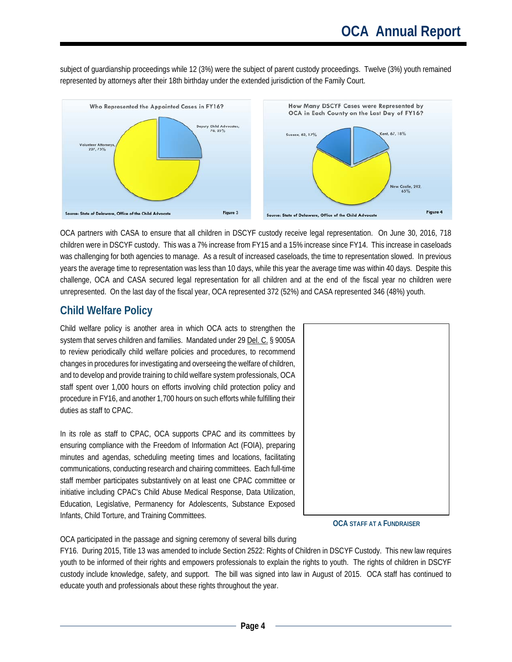subject of guardianship proceedings while 12 (3%) were the subject of parent custody proceedings. Twelve (3%) youth remained represented by attorneys after their 18th birthday under the extended jurisdiction of the Family Court.



OCA partners with CASA to ensure that all children in DSCYF custody receive legal representation. On June 30, 2016, 718 children were in DSCYF custody. This was a 7% increase from FY15 and a 15% increase since FY14. This increase in caseloads was challenging for both agencies to manage. As a result of increased caseloads, the time to representation slowed. In previous years the average time to representation was less than 10 days, while this year the average time was within 40 days. Despite this challenge, OCA and CASA secured legal representation for all children and at the end of the fiscal year no children were unrepresented. On the last day of the fiscal year, OCA represented 372 (52%) and CASA represented 346 (48%) youth.

#### <span id="page-4-0"></span>**Child Welfare Policy**

Child welfare policy is another area in which OCA acts to strengthen the system that serves children and families. Mandated under 29 Del. C. § 9005A to review periodically child welfare policies and procedures, to recommend changes in procedures for investigating and overseeing the welfare of children, and to develop and provide training to child welfare system professionals, OCA staff spent over 1,000 hours on efforts involving child protection policy and procedure in FY16, and another 1,700 hours on such efforts while fulfilling their duties as staff to CPAC.

In its role as staff to CPAC, OCA supports CPAC and its committees by ensuring compliance with the Freedom of Information Act (FOIA), preparing minutes and agendas, scheduling meeting times and locations, facilitating communications, conducting research and chairing committees. Each full-time staff member participates substantively on at least one CPAC committee or initiative including CPAC's Child Abuse Medical Response, Data Utilization, Education, Legislative, Permanency for Adolescents, Substance Exposed Infants, Child Torture, and Training Committees.



**OCA STAFF AT A FUNDRAISER**

OCA participated in the passage and signing ceremony of several bills during

FY16. During 2015, Title 13 was amended to include Section 2522: Rights of Children in DSCYF Custody. This new law requires youth to be informed of their rights and empowers professionals to explain the rights to youth. The rights of children in DSCYF custody include knowledge, safety, and support. The bill was signed into law in August of 2015. OCA staff has continued to educate youth and professionals about these rights throughout the year.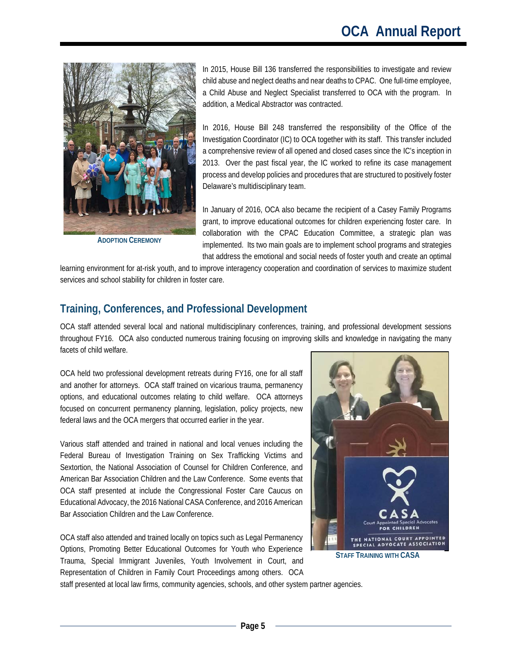

**ADOPTION CEREMONY**

In 2015, House Bill 136 transferred the responsibilities to investigate and review child abuse and neglect deaths and near deaths to CPAC. One full-time employee, a Child Abuse and Neglect Specialist transferred to OCA with the program. In addition, a Medical Abstractor was contracted.

In 2016, House Bill 248 transferred the responsibility of the Office of the Investigation Coordinator (IC) to OCA together with its staff. This transfer included a comprehensive review of all opened and closed cases since the IC's inception in 2013. Over the past fiscal year, the IC worked to refine its case management process and develop policies and procedures that are structured to positively foster Delaware's multidisciplinary team.

In January of 2016, OCA also became the recipient of a Casey Family Programs grant, to improve educational outcomes for children experiencing foster care. In collaboration with the CPAC Education Committee, a strategic plan was implemented. Its two main goals are to implement school programs and strategies that address the emotional and social needs of foster youth and create an optimal

learning environment for at-risk youth, and to improve interagency cooperation and coordination of services to maximize student services and school stability for children in foster care.

#### <span id="page-5-0"></span>**Training, Conferences, and Professional Development**

OCA staff attended several local and national multidisciplinary conferences, training, and professional development sessions throughout FY16. OCA also conducted numerous training focusing on improving skills and knowledge in navigating the many facets of child welfare.

OCA held two professional development retreats during FY16, one for all staff and another for attorneys. OCA staff trained on vicarious trauma, permanency options, and educational outcomes relating to child welfare. OCA attorneys focused on concurrent permanency planning, legislation, policy projects, new federal laws and the OCA mergers that occurred earlier in the year.

Various staff attended and trained in national and local venues including the Federal Bureau of Investigation Training on Sex Trafficking Victims and Sextortion, the National Association of Counsel for Children Conference, and American Bar Association Children and the Law Conference. Some events that OCA staff presented at include the Congressional Foster Care Caucus on Educational Advocacy, the 2016 National CASA Conference, and 2016 American Bar Association Children and the Law Conference.

OCA staff also attended and trained locally on topics such as Legal Permanency Options, Promoting Better Educational Outcomes for Youth who Experience Trauma, Special Immigrant Juveniles, Youth Involvement in Court, and Representation of Children in Family Court Proceedings among others. OCA



staff presented at local law firms, community agencies, schools, and other system partner agencies.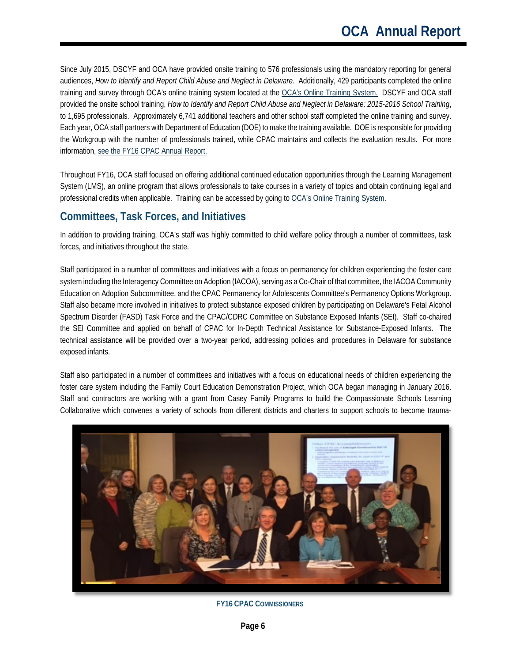Since July 2015, DSCYF and OCA have provided onsite training to 576 professionals using the mandatory reporting for general audiences, *How to Identify and Report Child Abuse and Neglect in Delaware*. Additionally, 429 participants completed the online training and survey through OCA's online training system located at the [OCA's Online Training System.](http://ocade.server.tracorp.com/) DSCYF and OCA staff provided the onsite school training, *How to Identify and Report Child Abuse and Neglect in Delaware: 2015-2016 School Training*, to 1,695 professionals. Approximately 6,741 additional teachers and other school staff completed the online training and survey. Each year, OCA staff partners with Department of Education (DOE) to make the training available. DOE is responsible for providing the Workgroup with the number of professionals trained, while CPAC maintains and collects the evaluation results. For more information, [see the FY16 CPAC Annual Report.](http://courts.delaware.gov/forms/download.aspx?id=90818) 

Throughout FY16, OCA staff focused on offering additional continued education opportunities through the Learning Management System (LMS), an online program that allows professionals to take courses in a variety of topics and obtain continuing legal and professional credits when applicable. Training can be accessed by going t[o OCA's Online Training System.](https://ocade.server.tracorp.com/novus/application/login/)

#### <span id="page-6-0"></span>**Committees, Task Forces, and Initiatives**

In addition to providing training, OCA's staff was highly committed to child welfare policy through a number of committees, task forces, and initiatives throughout the state.

Staff participated in a number of committees and initiatives with a focus on permanency for children experiencing the foster care system including the Interagency Committee on Adoption (IACOA), serving as a Co-Chair of that committee, the IACOA Community Education on Adoption Subcommittee, and the CPAC Permanency for Adolescents Committee's Permanency Options Workgroup. Staff also became more involved in initiatives to protect substance exposed children by participating on Delaware's Fetal Alcohol Spectrum Disorder (FASD) Task Force and the CPAC/CDRC Committee on Substance Exposed Infants (SEI). Staff co-chaired the SEI Committee and applied on behalf of CPAC for In-Depth Technical Assistance for Substance-Exposed Infants. The technical assistance will be provided over a two-year period, addressing policies and procedures in Delaware for substance exposed infants.

Staff also participated in a number of committees and initiatives with a focus on educational needs of children experiencing the foster care system including the Family Court Education Demonstration Project, which OCA began managing in January 2016. Staff and contractors are working with a grant from Casey Family Programs to build the Compassionate Schools Learning Collaborative which convenes a variety of schools from different districts and charters to support schools to become trauma-



**FY16 CPAC COMMISSIONERS**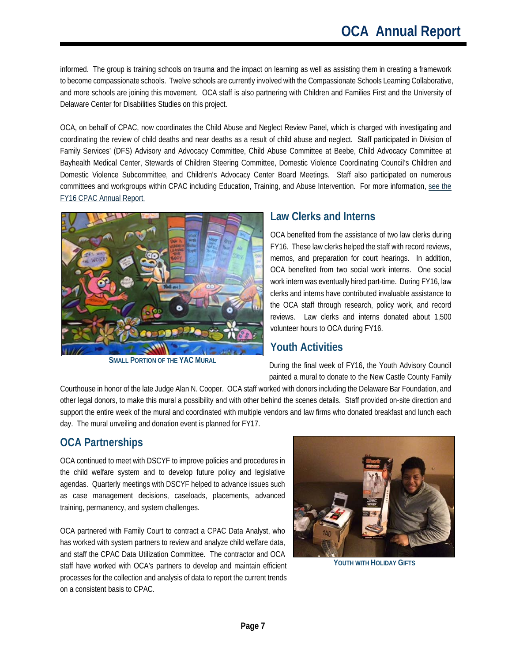informed. The group is training schools on trauma and the impact on learning as well as assisting them in creating a framework to become compassionate schools. Twelve schools are currently involved with the Compassionate Schools Learning Collaborative, and more schools are joining this movement. OCA staff is also partnering with Children and Families First and the University of Delaware Center for Disabilities Studies on this project.

OCA, on behalf of CPAC, now coordinates the Child Abuse and Neglect Review Panel, which is charged with investigating and coordinating the review of child deaths and near deaths as a result of child abuse and neglect. Staff participated in Division of Family Services' (DFS) Advisory and Advocacy Committee, Child Abuse Committee at Beebe, Child Advocacy Committee at Bayhealth Medical Center, Stewards of Children Steering Committee, Domestic Violence Coordinating Council's Children and Domestic Violence Subcommittee, and Children's Advocacy Center Board Meetings. Staff also participated on numerous committees and workgroups within CPAC including Education, Training, and Abuse Intervention. For more information, see the [FY16 CPAC Annual Report.](http://courts.delaware.gov/forms/download.aspx?id=90818) 



**SMALL PORTION OF THE YAC MURAL**

#### <span id="page-7-0"></span>**Law Clerks and Interns**

OCA benefited from the assistance of two law clerks during FY16. These law clerks helped the staff with record reviews, memos, and preparation for court hearings. In addition, OCA benefited from two social work interns. One social work intern was eventually hired part-time. During FY16, law clerks and interns have contributed invaluable assistance to the OCA staff through research, policy work, and record reviews. Law clerks and interns donated about 1,500 volunteer hours to OCA during FY16.

#### <span id="page-7-1"></span>**Youth Activities**

During the final week of FY16, the Youth Advisory Council painted a mural to donate to the New Castle County Family

Courthouse in honor of the late Judge Alan N. Cooper. OCA staff worked with donors including the Delaware Bar Foundation, and other legal donors, to make this mural a possibility and with other behind the scenes details. Staff provided on-site direction and support the entire week of the mural and coordinated with multiple vendors and law firms who donated breakfast and lunch each day. The mural unveiling and donation event is planned for FY17.

## <span id="page-7-2"></span>**OCA Partnerships**

OCA continued to meet with DSCYF to improve policies and procedures in the child welfare system and to develop future policy and legislative agendas. Quarterly meetings with DSCYF helped to advance issues such as case management decisions, caseloads, placements, advanced training, permanency, and system challenges.

OCA partnered with Family Court to contract a CPAC Data Analyst, who has worked with system partners to review and analyze child welfare data, and staff the CPAC Data Utilization Committee. The contractor and OCA staff have worked with OCA's partners to develop and maintain efficient processes for the collection and analysis of data to report the current trends on a consistent basis to CPAC.



**YOUTH WITH HOLIDAY GIFTS**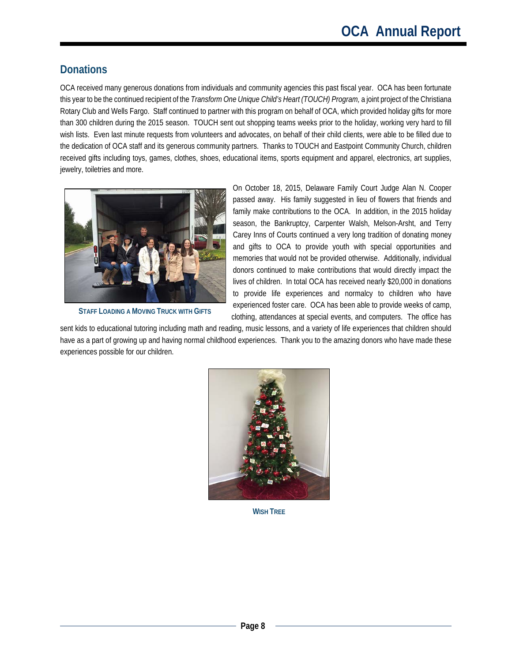# <span id="page-8-0"></span>**Donations**

OCA received many generous donations from individuals and community agencies this past fiscal year. OCA has been fortunate this year to be the continued recipient of the *Transform One Unique Child's Heart (TOUCH) Program,* a joint project of the Christiana Rotary Club and Wells Fargo. Staff continued to partner with this program on behalf of OCA, which provided holiday gifts for more than 300 children during the 2015 season. TOUCH sent out shopping teams weeks prior to the holiday, working very hard to fill wish lists. Even last minute requests from volunteers and advocates, on behalf of their child clients, were able to be filled due to the dedication of OCA staff and its generous community partners. Thanks to TOUCH and Eastpoint Community Church, children received gifts including toys, games, clothes, shoes, educational items, sports equipment and apparel, electronics, art supplies, jewelry, toiletries and more.



**STAFF LOADING A MOVING TRUCK WITH GIFTS**

On October 18, 2015, Delaware Family Court Judge Alan N. Cooper passed away. His family suggested in lieu of flowers that friends and family make contributions to the OCA. In addition, in the 2015 holiday season, the Bankruptcy, Carpenter Walsh, Melson-Arsht, and Terry Carey Inns of Courts continued a very long tradition of donating money and gifts to OCA to provide youth with special opportunities and memories that would not be provided otherwise. Additionally, individual donors continued to make contributions that would directly impact the lives of children. In total OCA has received nearly \$20,000 in donations to provide life experiences and normalcy to children who have experienced foster care. OCA has been able to provide weeks of camp, clothing, attendances at special events, and computers. The office has

sent kids to educational tutoring including math and reading, music lessons, and a variety of life experiences that children should have as a part of growing up and having normal childhood experiences. Thank you to the amazing donors who have made these experiences possible for our children.



**WISH TREE**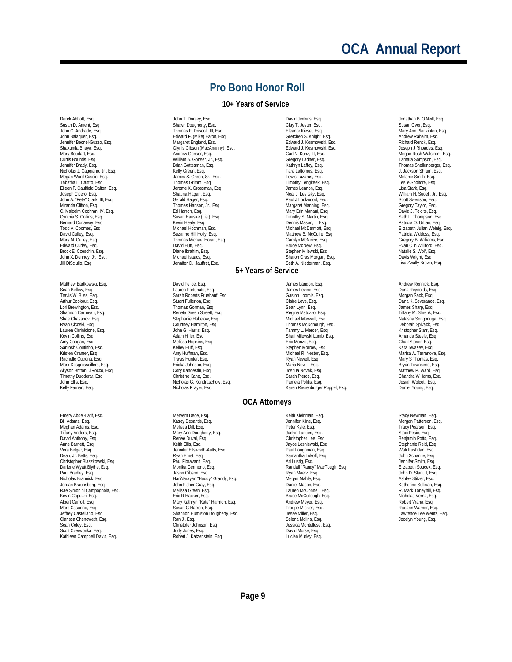# **OCA Annual Report**

#### **Pro Bono Honor Roll**

#### **10+ Years of Service**

<span id="page-9-0"></span>Derek Abbott, Esq. Susan D. Ament, Esq. John C. Andrade, Esq. John Balaguer, Esq. Jennifer Becnel-Guzzo, Esq. Shakuntla Bhaya, Esq. Mary Boudart, Esq. Curtis Bounds, Esq. Jennifer Brady, Esq. Nicholas J. Caggiano, Jr., Esq. Megan Ward Cascio, Esq. Tabatha L. Castro, Esq. Eileen F. Caulfield Dalton, Esq. Joseph Cicero, Esq. John A. "Pete" Clark, III, Esq. Miranda Clifton, Esq. C. Malcolm Cochran, IV, Esq. Cynthia S. Collins, Esq. Bernard Conaway, Esq. Todd A. Coomes, Esq. David Culley, Esq. Mary M. Culley, Esq. Edward Curley, Esq. Brock E. Czeschin, Esq. John X. Denney, Jr., Esq. Jill DiSciullo, Esq.

Matthew Bartkowski, Esg. Sean Bellew, Esq. Travis W. Bliss, Esq. Arthur Bookout, Esq. Lori Brewington, Esq. Shannon Carmean, Esq. Shae Chasanov, Esq. Ryan Cicoski, Esq. Lauren Cirrinicione, Esq. Kevin Collins, Esq. Amy Coogan, Esq. Santosh Coutinho, Esq. Kristen Cramer, Esq. Rachelle Cutrona, Esq. Mark Desgrosseillers, Esq. Allyson Britton DiRocco, Esq. Timothy Dudderar, Esq. John Ellis, Esq. Kelly Farnan, Esq.

Emery Abdel-Latif, Esq. Bill Adams, Esq. Meghan Adams, Esg. Tiffany Anders, Esq. David Anthony, Esq. Anne Barnett, Esq. Vera Belger, Esq. Dean, Jr. Betts, Esq. Christopher Blaszkowski, Esq. Darlene Wyatt Blythe, Esq. Paul Bradley, Esq. Nicholas Brannick, Esq. Jordan Braunsberg, Esq. Rae Simonini Campagnola, Esq. Kevin Capuzzi, Esq. Albert Carroll, Esq. Marc Casarino, Esq. Jeffrey Castellano, Esq. Clarissa Chenoweth, Esq. Sean Coley, Esq. Scott Czerwonka, Esq. Kathleen Campbell Davis, Esq.

John T. Dorsey, Esq. Shawn Dougherty, Esq. Thomas F. Driscoll, III, Esq. Edward F. (Mike) Eaton, Esq. Margaret England, Esq. Glynis Gibson (MacAnanny), Esq. Andrew Gonser, Esq. William A. Gonser, Jr., Esq. Brian Gottesman, Esq. Kelly Green, Esq. James S. Green, Sr., Esq. Thomas Grimm, Esq. Jerome K. Grossman, Esq. Shauna Hagan, Esq. Gerald Hager, Esq. Thomas Hanson, Jr., Esq. Ed Harron, Esq. Susan Hauske (List), Esq. Kevin Healy, Esq. Michael Hochman, Esq. Suzanne Hill Holly, Esq. Thomas Michael Horan, Esq. David Hutt, Esq. Diane Ibrahim, Esq. Michael Isaacs, Esq. Jennifer C. Jauffret, Esq.

David Felice, Esq. Lauren Fortunato, Esq. Sarah Roberts Fruehauf, Esq. Stuart Fullerton, Esq. Thomas Gorman, Esq. Reneta Green Streett, Esq. Stephanie Habelow, Esq. Courtney Hamilton, Esq. John G. Harris, Esq. Adam Hiller, Esq. Melissa Hopkins, Esq. Kelley Huff, Esq. Amy Huffman, Esq. Travis Hunter, Esq. Ericka Johnson, Esq. Cory Kandestin, Esq. Christine Kane, Esq. Nicholas G. Kondraschow, Esq. Nicholas Krayer, Esq.

Meryem Dede, Esq. Kasey Desantis, Esq. Melissa Dill, Esq. Mary Ann Dougherty, Esq. Renee Duval, Esq. Keith Ellis, Esq. Jennifer Ellsworth-Aults, Esq. Ryan Ernst, Esq. Paul Fioravanti, Esq. Monika Germono, Esq. Jason Gibson, Esq. HariNarayan "Huddy" Grandy, Esq. John Fisher Gray, Esq. Melissa Green, Esq. Eric R Hacker, Esq. Mary Kathryn "Kate" Harmon, Esq. Susan G Harron, Esq. Shannon Humiston Dougherty, Esg. Ran Ji, Esq. Christofer Johnson, Esq Judy Jones, Esq. Robert J. Katzenstein, Esq.

David Jenkins, Esq. Clay T. Jester, Esq. Eleanor Kiesel, Esq. Gretchen S. Knight, Esq. Edward J. Kosmowski, Esq. Edward J. Kosmowski, Esq. Carl N. Kunz, III, Esq. Gregory Ladner, Esq. Kathryn Laffey, Esq. Tara Lattomus, Esq. Lewis Lazarus, Esq. Timothy Lengkeek, Esq. James Lennon, Esq. Neal J. Levitsky, Esq. Paul J Lockwood, Esg. Margaret Manning, Esq. Mary Erin Mariani, Esq. Timothy S. Martin, Esq. Dennis Mason, II, Esq. Michael McDermott, Esq. Matthew B. McGuire, Esq. Carolyn McNeice, Esq. Bruce McNew, Esq. Stephen Milewski, Esq. Sharon Oras Morgan, Esq. Seth A. Niederman, Esq. **5+ Years of Service**

> James Landon, Esq. James Levine, Esq. Gaston Loomis, Esq. Claire Love, Esq. Sean Lynn, Esq. Regina Matozzo, Esq. Michael Maxwell, Esq. Thomas McDonough, Esq. Tammy L. Mercer, Esq. Shari Milewski Lumb, Esq. Eric Monzo, Esq. Stephen Morrow, Esg. Michael R. Nestor, Esq. Ryan Newell, Esq. Maria Newill, Esq. Joshua Novak, Esq. Sarah Pierce, Esq. Pamela Politis, Esq. Karen Riesenburger Poppel, Esq.

**OCA Attorneys**

Keith Kleinman, Esq. Jennifer Kline, Esq. Peter Kyle, Esq. Jaclyn Lantieri, Esq. Christopher Lee, Esq. Jayce Lesniewski, Esq. Paul Loughman, Esq. Samantha Lukoff, Esq. Ari Lustig, Esq. Randall "Randy" MacTough, Esq. Ryan Maerz, Esq. Megan Mahle, Esq. Daniel Mason, Esq. Lauren McConnell, Esq. Bruce McCullough, Esq. Andrew Meyer, Esq. Troupe Mickler, Esq. Jesse Miller, Esq. Selena Molina, Esq. Jessica Montellese, Esq. David Morse, Esq. Lucian Murley, Esq.

Jonathan B. O'Neill, Esq. Susan Over, Esq. Mary Ann Plankinton, Esq. Andrew Rahaim, Esq. Richard Renck, Esq. Joseph J Rhoades, Esq. Megan Rush Walstrom, Esq. Tamara Sampson, Esq. Thomas Shellenberger, Esq. J. Jackson Shrum, Esq. Melanie Smith, Esq. Leslie Spoltore, Esq. Lisa Stark, Esq. William H. Sudell, Jr., Esq. Scott Swenson, Esq. Gregory Taylor, Esq. David J. Teklits, Esq. Seth L. Thompson, Esq. Patricia O. Urban, Esq. Elizabeth Julian Weinig, Esq. Patricia Widdoss, Esq. Gregory B. Williams, Esq. Evan Olin Williford, Esg. Natalie S. Wolf, Esq. Davis Wright, Esq. Lisa Zwally Brown, Esq.

Andrew Rennick, Esq. Dana Reynolds, Esq. Morgan Sack, Esq. Dana K. Severance, Esq. James Sharp, Esq. Tiffany M. Shrenk, Esq. Natasha Songonuga, Esq. Deborah Spivack, Esq. Kristopher Starr, Esq. Amanda Steele, Esq. Chad Stover, Esq. Kara Swasey, Esq. Marisa A. Terranova, Esq. Mary S Thomas, Esq. Bryan Townsend, Esq. Matthew P. Ward, Esq. Chandra Williams, Esq. Josiah Wolcott, Esq. Daniel Young, Esq.

Stacy Newman, Esq. Morgan Patterson, Esq. Tracy Pearson, Esq. Staci Pesin, Esq. Benjamin Potts, Esq. Stephanie Reid, Esq. Wali Rushdan, Esq. John Schanne, Esq. Jennifer Smith, Esq. Elizabeth Soucek, Esq. John D. Stant II, Esq. Ashley Stitzer, Esq. Katherine Sullivan, Esq. R. Mark Taneyhill, Esq. Nicholas Verna, Esq. Robert Vrana, Esq. Raeann Warner, Esq. Lawrence Lee Wentz, Esq. Jocelyn Young, Esg.